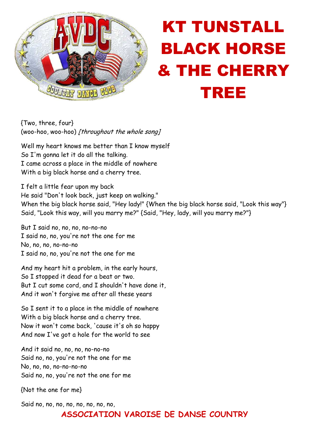

## KT TUNSTALL BLACK HORSE & THE CHERRY TREE

{Two, three, four} (woo-hoo, woo-hoo) [throughout the whole song]

Well my heart knows me better than I know myself So I'm gonna let it do all the talking. I came across a place in the middle of nowhere With a big black horse and a cherry tree.

I felt a little fear upon my back He said "Don't look back, just keep on walking." When the big black horse said, "Hey lady!" {When the big black horse said, "Look this way"} Said, "Look this way, will you marry me?" {Said, "Hey, lady, will you marry me?"}

But I said no, no, no, no-no-no I said no, no, you're not the one for me No, no, no, no-no-no I said no, no, you're not the one for me

And my heart hit a problem, in the early hours, So I stopped it dead for a beat or two. But I cut some cord, and I shouldn't have done it, And it won't forgive me after all these years

So I sent it to a place in the middle of nowhere With a big black horse and a cherry tree. Now it won't come back, 'cause it's oh so happy And now I've got a hole for the world to see

And it said no, no, no, no-no-no Said no, no, you're not the one for me No, no, no, no-no-no-no Said no, no, you're not the one for me

{Not the one for me}

Said no, no, no, no, no, no, no, no,

## **ASSOCIATION VAROISE DE DANSE COUNTRY**